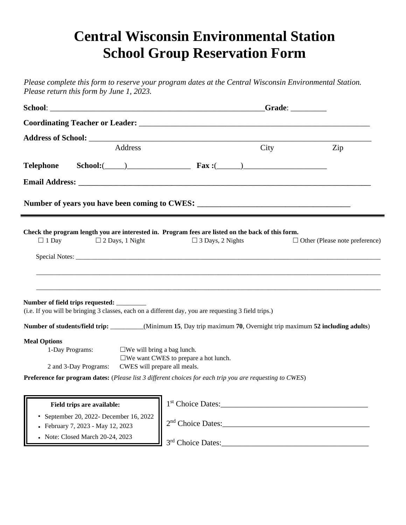# **Central Wisconsin Environmental Station School Group Reservation Form**

*Please complete this form to reserve your program dates at the Central Wisconsin Environmental Station. Please return this form by June 1, 2023.* 

|                                                                                                                     |                         | Grade: __________                     |  |  |
|---------------------------------------------------------------------------------------------------------------------|-------------------------|---------------------------------------|--|--|
|                                                                                                                     |                         |                                       |  |  |
|                                                                                                                     |                         |                                       |  |  |
| Address                                                                                                             | City                    | Zip                                   |  |  |
| Telephone                                                                                                           |                         |                                       |  |  |
|                                                                                                                     |                         |                                       |  |  |
| Number of years you have been coming to CWES: ___________________________________                                   |                         |                                       |  |  |
|                                                                                                                     |                         |                                       |  |  |
| Check the program length you are interested in. Program fees are listed on the back of this form.                   |                         |                                       |  |  |
| $\square$ 2 Days, 1 Night<br>$\Box$ 1 Day                                                                           | $\Box$ 3 Days, 2 Nights | $\Box$ Other (Please note preference) |  |  |
|                                                                                                                     |                         |                                       |  |  |
|                                                                                                                     |                         |                                       |  |  |
|                                                                                                                     |                         |                                       |  |  |
| Number of field trips requested: _________                                                                          |                         |                                       |  |  |
| (i.e. If you will be bringing 3 classes, each on a different day, you are requesting 3 field trips.)                |                         |                                       |  |  |
| Number of students/field trip: _______(Minimum 15, Day trip maximum 70, Overnight trip maximum 52 including adults) |                         |                                       |  |  |
| <b>Meal Options</b>                                                                                                 |                         |                                       |  |  |
| 1-Day Programs:<br>$\square$ We will bring a bag lunch.                                                             |                         |                                       |  |  |
| $\square$ We want CWES to prepare a hot lunch.<br>CWES will prepare all meals.<br>2 and 3-Day Programs:             |                         |                                       |  |  |
| Preference for program dates: (Please list 3 different choices for each trip you are requesting to CWES)            |                         |                                       |  |  |
|                                                                                                                     |                         |                                       |  |  |
| Field trips are available:                                                                                          |                         |                                       |  |  |
| • September 20, 2022- December 16, 2022                                                                             |                         |                                       |  |  |
| • February 7, 2023 - May 12, 2023                                                                                   |                         |                                       |  |  |
|                                                                                                                     |                         |                                       |  |  |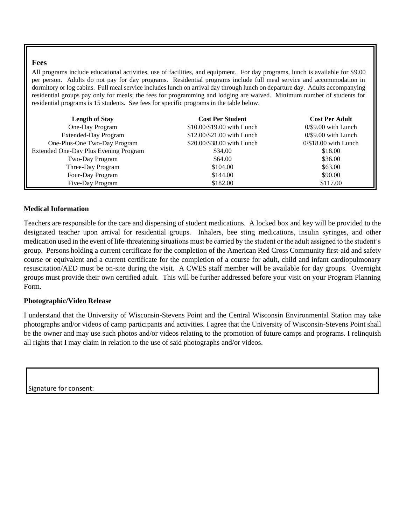# **Fees**

All programs include educational activities, use of facilities, and equipment. For day programs, lunch is available for \$9.00 per person. Adults do not pay for day programs. Residential programs include full meal service and accommodation in dormitory or log cabins. Full meal service includes lunch on arrival day through lunch on departure day. Adults accompanying residential groups pay only for meals; the fees for programming and lodging are waived. Minimum number of students for residential programs is 15 students. See fees for specific programs in the table below.

| <b>Length of Stay</b>                 | <b>Cost Per Student</b>    | <b>Cost Per Adult</b>  |
|---------------------------------------|----------------------------|------------------------|
| One-Day Program                       | \$10.00/\$19.00 with Lunch | $0$ /\$9.00 with Lunch |
| <b>Extended-Day Program</b>           | \$12.00/\$21.00 with Lunch | $0$ /\$9.00 with Lunch |
| One-Plus-One Two-Day Program          | \$20.00/\$38.00 with Lunch | $0/\$18.00$ with Lunch |
| Extended One-Day Plus Evening Program | \$34.00                    | \$18.00                |
| Two-Day Program                       | \$64.00                    | \$36.00                |
| Three-Day Program                     | \$104.00                   | \$63.00                |
| Four-Day Program                      | \$144.00                   | \$90.00                |
| Five-Day Program                      | \$182.00                   | \$117.00               |

### **Medical Information**

Teachers are responsible for the care and dispensing of student medications. A locked box and key will be provided to the designated teacher upon arrival for residential groups. Inhalers, bee sting medications, insulin syringes, and other medication used in the event of life-threatening situations must be carried by the student or the adult assigned to the student's group. Persons holding a current certificate for the completion of the American Red Cross Community first-aid and safety course or equivalent and a current certificate for the completion of a course for adult, child and infant cardiopulmonary resuscitation/AED must be on-site during the visit. A CWES staff member will be available for day groups. Overnight groups must provide their own certified adult. This will be further addressed before your visit on your Program Planning Form.

#### **Photographic/Video Release**

I understand that the University of Wisconsin-Stevens Point and the Central Wisconsin Environmental Station may take photographs and/or videos of camp participants and activities. I agree that the University of Wisconsin-Stevens Point shall be the owner and may use such photos and/or videos relating to the promotion of future camps and programs. I relinquish all rights that I may claim in relation to the use of said photographs and/or videos.

Signature for consent: